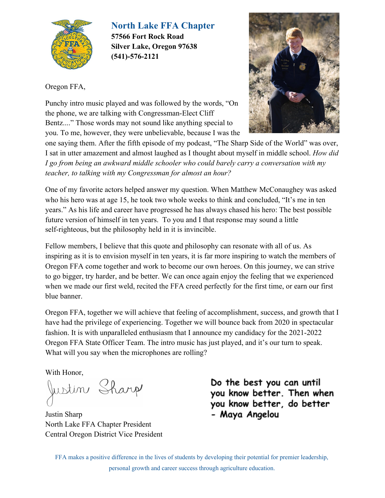

**North Lake FFA Chapter**

**57566 Fort Rock Road Silver Lake, Oregon 97638 (541)-576-2121**

Oregon FFA,



Punchy intro music played and was followed by the words, "On the phone, we are talking with Congressman-Elect Cliff Bentz...." Those words may not sound like anything special to you. To me, however, they were unbelievable, because I was the

one saying them. After the fifth episode of my podcast, "The Sharp Side of the World" was over, I sat in utter amazement and almost laughed as I thought about myself in middle school. *How did I go from being an awkward middle schooler who could barely carry a conversation with my teacher, to talking with my Congressman for almost an hour?*

One of my favorite actors helped answer my question. When Matthew McConaughey was asked who his hero was at age 15, he took two whole weeks to think and concluded, "It's me in ten years." As his life and career have progressed he has always chased his hero: The best possible future version of himself in ten years. To you and I that response may sound a little self-righteous, but the philosophy held in it is invincible.

Fellow members, I believe that this quote and philosophy can resonate with all of us. As inspiring as it is to envision myself in ten years, it is far more inspiring to watch the members of Oregon FFA come together and work to become our own heroes. On this journey, we can strive to go bigger, try harder, and be better. We can once again enjoy the feeling that we experienced when we made our first weld, recited the FFA creed perfectly for the first time, or earn our first blue banner.

Oregon FFA, together we will achieve that feeling of accomplishment, success, and growth that I have had the privilege of experiencing. Together we will bounce back from 2020 in spectacular fashion. It is with unparalleled enthusiasm that I announce my candidacy for the 2021-2022 Oregon FFA State Officer Team. The intro music has just played, and it's our turn to speak. What will you say when the microphones are rolling?

With Honor,

Justin Sharp

Justin Sharp North Lake FFA Chapter President Central Oregon District Vice President

Do the best you can until you know better. Then when you know better, do better - Maya Angelou

FFA makes a positive difference in the lives of students by developing their potential for premier leadership, personal growth and career success through agriculture education.